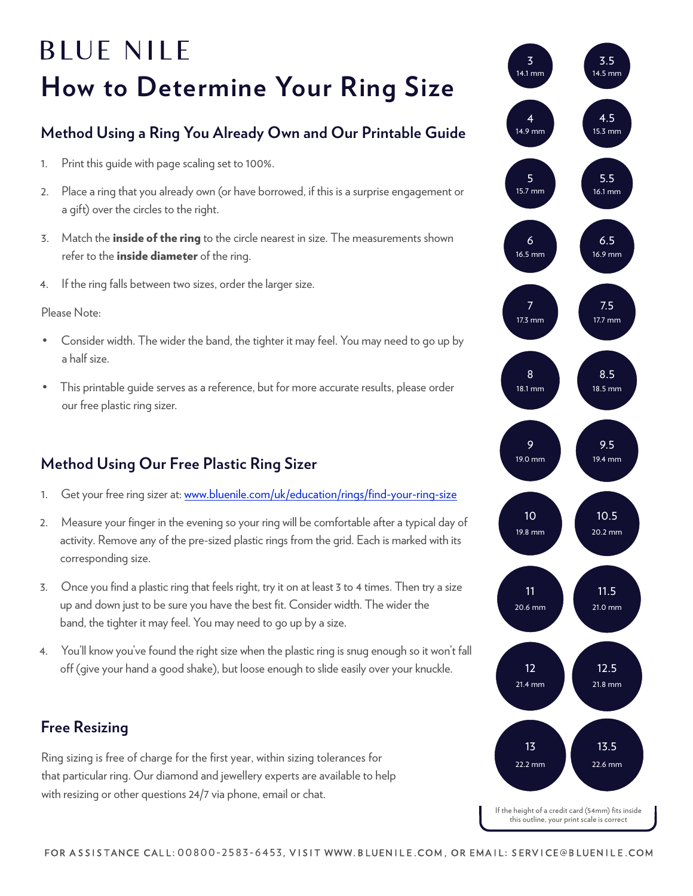# **BLUE NILE How to Determine Your Ring Size**

### **Method Using a Ring You Already Own and Our Printable Guide**

- 1. Print this guide with page scaling set to 100%.
- 2. Place a ring that you already own (or have borrowed, if this is a surprise engagement or a gift) over the circles to the right.
- 3. Match the *inside of the ring* to the circle nearest in size. The measurements shown refer to the *inside diameter* of the ring.
- 4. If the ring falls between two sizes, order the larger size.

#### Please Note:

- Consider width. The wider the band, the tighter it may feel. You may need to go up by a half size.
- This printable guide serves as a reference, but for more accurate results, please order our free plastic ring sizer.

#### **Method Using Our Free Plastic Ring Sizer**

- 1. Get your free ring sizer at: [www.bluenile.com/uk/education/rings/find-your-ring-size](https://www.bluenile.com/uk/education/rings/find-your-ring-size)
- 2. Measure your finger in the evening so your ring will be comfortable after a typical day of activity. Remove any of the pre-sized plastic rings from the grid. Each is marked with its corresponding size.
- 3. Once you find a plastic ring that feels right, try it on at least 3 to 4 times. Then try a size up and down just to be sure you have the best fit. Consider width. The wider the band, the tighter it may feel. You may need to go up by a size.
- 4. You'll know you've found the right size when the plastic ring is snug enough so it won't fall off (give your hand a good shake), but loose enough to slide easily over your knuckle.

#### **Free Resizing**

Ring sizing is free of charge for the first year, within sizing tolerances for that particular ring. Our diamond and jewellery experts are available to help with resizing or other questions 24/7 via phone, email or chat.